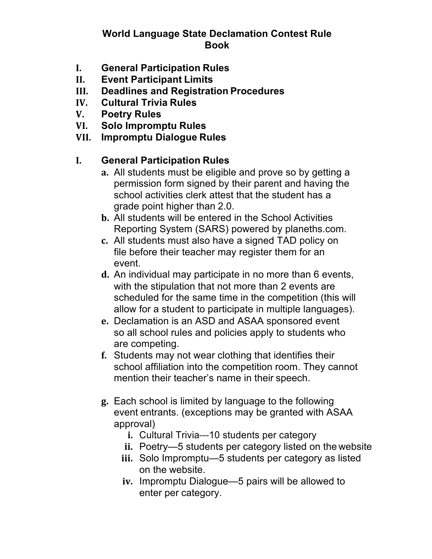### **World Language State Declamation Contest Rule Book**

- **I. General Participation Rules**
- **II. Event Participant Limits**
- **III. Deadlines and Registration Procedures**
- **IV. Cultural Trivia Rules**
- **V. Poetry Rules**
- **VI. Solo Impromptu Rules**
- **VII. Impromptu Dialogue Rules**

# **I. General Participation Rules**

- **a.** All students must be eligible and prove so by getting a permission form signed by their parent and having the school activities clerk attest that the student has a grade point higher than 2.0.
- **b.** All students will be entered in the School Activities Reporting System (SARS) powered by planeths.com.
- **c.** All students must also have a signed TAD policy on file before their teacher may register them for an event.
- **d.** An individual may participate in no more than 6 events, with the stipulation that not more than 2 events are scheduled for the same time in the competition (this will allow for a student to participate in multiple languages).
- **e.** Declamation is an ASD and ASAA sponsored event so all school rules and policies apply to students who are competing.
- **f.** Students may not wear clothing that identifies their school affiliation into the competition room. They cannot mention their teacher's name in their speech.
- **g.** Each school is limited by language to the following event entrants. (exceptions may be granted with ASAA approval)
	- **i.** Cultural Trivia—-10 students per category
	- **ii.** Poetry—5 students per category listed on the website
	- **iii.** Solo Impromptu—5 students per category as listed on the website.
	- **iv.** Impromptu Dialogue—5 pairs will be allowed to enter per category.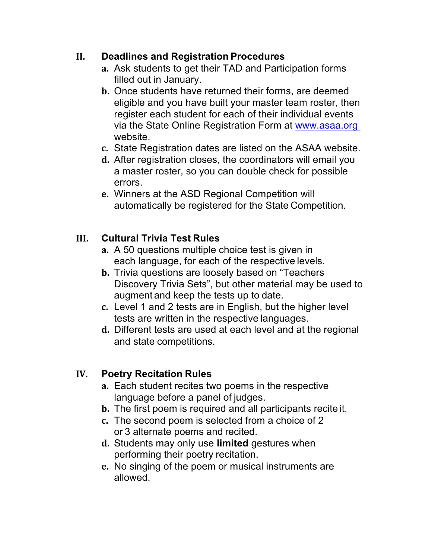#### **II. Deadlines and Registration Procedures**

- **a.** Ask students to get their TAD and Participation forms filled out in January.
- **b.** Once students have returned their forms, are deemed eligible and you have built your master team roster, then register each student for each of their individual events via the State Online Registration Form at www.asaa.org website.
- **c.** State Registration dates are listed on the ASAA website.
- **d.** After registration closes, the coordinators will email you a master roster, so you can double check for possible errors.
- **e.** Winners at the ASD Regional Competition will automatically be registered for the State Competition.

### **III. Cultural Trivia Test Rules**

- **a.** A 50 questions multiple choice test is given in each language, for each of the respective levels.
- **b.** Trivia questions are loosely based on "Teachers Discovery Trivia Sets", but other material may be used to augment and keep the tests up to date.
- **c.** Level 1 and 2 tests are in English, but the higher level tests are written in the respective languages.
- **d.** Different tests are used at each level and at the regional and state competitions.

#### **IV. Poetry Recitation Rules**

- **a.** Each student recites two poems in the respective language before a panel of judges.
- **b.** The first poem is required and all participants recite it.
- **c.** The second poem is selected from a choice of 2 or 3 alternate poems and recited.
- **d.** Students may only use **limited** gestures when performing their poetry recitation.
- **e.** No singing of the poem or musical instruments are allowed.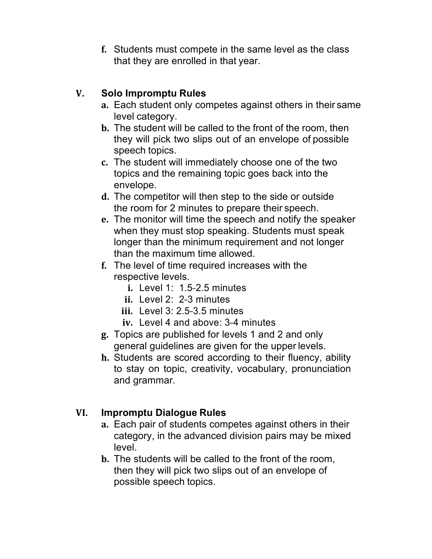**f.** Students must compete in the same level as the class that they are enrolled in that year.

## **V. Solo Impromptu Rules**

- **a.** Each student only competes against others in their same level category.
- **b.** The student will be called to the front of the room, then they will pick two slips out of an envelope of possible speech topics.
- **c.** The student will immediately choose one of the two topics and the remaining topic goes back into the envelope.
- **d.** The competitor will then step to the side or outside the room for 2 minutes to prepare their speech.
- **e.** The monitor will time the speech and notify the speaker when they must stop speaking. Students must speak longer than the minimum requirement and not longer than the maximum time allowed.
- **f.** The level of time required increases with the respective levels.
	- **i.** Level 1: 1.5-2.5 minutes
	- ii. Level 2: 2-3 minutes
	- **iii.** Level 3: 2.5-3.5 minutes
	- **iv.** Level 4 and above: 3-4 minutes
- **g.** Topics are published for levels 1 and 2 and only general guidelines are given for the upper levels.
- **h.** Students are scored according to their fluency, ability to stay on topic, creativity, vocabulary, pronunciation and grammar.

## **VI. Impromptu Dialogue Rules**

- **a.** Each pair of students competes against others in their category, in the advanced division pairs may be mixed level.
- **b.** The students will be called to the front of the room, then they will pick two slips out of an envelope of possible speech topics.